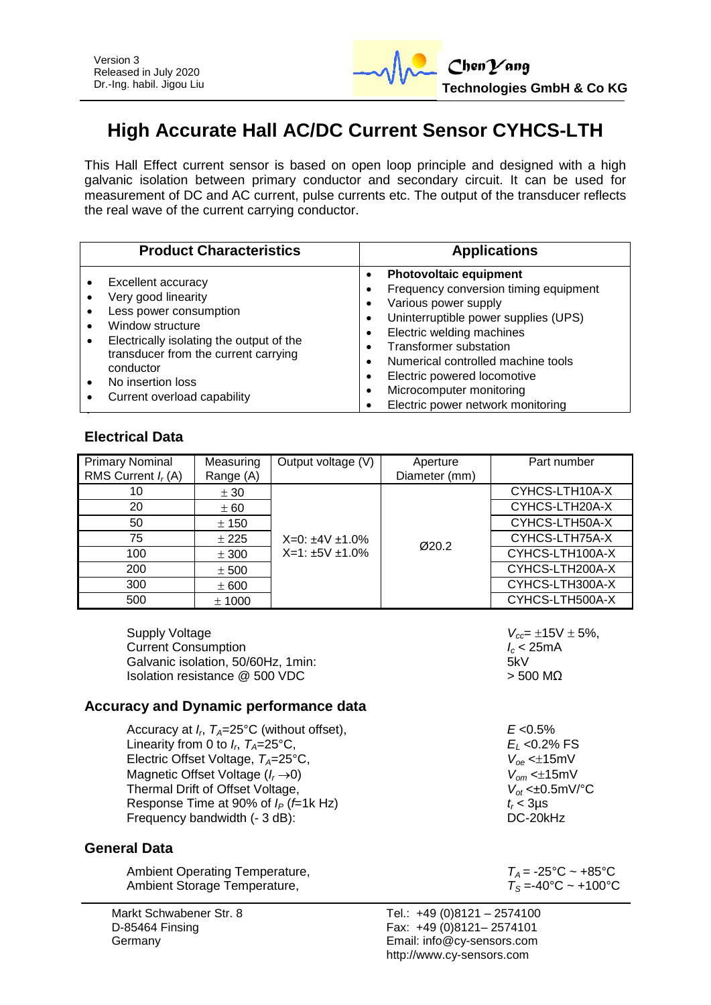

# **High Accurate Hall AC/DC Current Sensor CYHCS-LTH**

This Hall Effect current sensor is based on open loop principle and designed with a high galvanic isolation between primary conductor and secondary circuit. It can be used for measurement of DC and AC current, pulse currents etc. The output of the transducer reflects the real wave of the current carrying conductor.

| <b>Product Characteristics</b>           | <b>Applications</b>                   |  |  |
|------------------------------------------|---------------------------------------|--|--|
| <b>Excellent accuracy</b>                | <b>Photovoltaic equipment</b>         |  |  |
| Very good linearity                      | Frequency conversion timing equipment |  |  |
| Less power consumption                   | Various power supply                  |  |  |
| Window structure                         | Uninterruptible power supplies (UPS)  |  |  |
| Electrically isolating the output of the | Electric welding machines             |  |  |
| ٠                                        | <b>Transformer substation</b>         |  |  |
| transducer from the current carrying     | Numerical controlled machine tools    |  |  |
| conductor                                | Electric powered locomotive           |  |  |
| No insertion loss                        | Microcomputer monitoring              |  |  |
| Current overload capability              | Electric power network monitoring     |  |  |

## **Electrical Data**

| <b>Primary Nominal</b><br>RMS Current $I_r(A)$ | Measuring<br>Range (A) | Output voltage (V)      | Aperture<br>Diameter (mm) | Part number     |
|------------------------------------------------|------------------------|-------------------------|---------------------------|-----------------|
| 10                                             | ± 30                   |                         |                           | CYHCS-LTH10A-X  |
| 20                                             | ± 60                   |                         |                           | CYHCS-LTH20A-X  |
| 50                                             | ± 150                  |                         |                           | CYHCS-LTH50A-X  |
| 75                                             | ± 225                  | $X=0: \pm 4V \pm 1.0\%$ | Ø20.2                     | CYHCS-LTH75A-X  |
| 100                                            | ± 300                  | $X=1:±5V±1.0%$          |                           | CYHCS-LTH100A-X |
| 200                                            | ± 500                  |                         |                           | CYHCS-LTH200A-X |
| 300                                            | ± 600                  |                         |                           | CYHCS-LTH300A-X |
| 500                                            | ± 1000                 |                         |                           | CYHCS-LTH500A-X |

Supply Voltage  $V_{cc} = \pm 15V \pm 5\%,$ <br>Current Consumption  $I_c < 25mA$ **Current Consumption**<br>
Galvanic isolation 50/60Hz 1min:<br>
5kV Galvanic isolation, 50/60Hz, 1min: Isolation resistance  $\omega$  500 VDC  $\sim$  500 MΩ

### **Accuracy and Dynamic performance data**

Accuracy at *I<sup>r</sup>* , *TA*=25°C (without offset), *E* <0.5% Linearity from 0 to  $I_r$ ,  $T_A = 25^{\circ}$ C, Electric Offset Voltage,  $T_A = 25^\circ \text{C}$ , Magnetic Offset Voltage (*I<sub>r</sub>* ->0)  $V_{om}$  <±15mV<br>Thermal Drift of Offset Voltage,  $V_{of}$  <±0.5mV/°C Thermal Drift of Offset Voltage, *V*<sub>ot</sub> <±0.<br>Response Time at 90% of  $I_P$  (*f*=1k Hz) *t<sub>r</sub>* < 3µs Response Time at 90% of *I<sub>P</sub>* (*f*=1k Hz)  $t_r < 3\mu$ s<br>Frequency bandwidth (- 3 dB) Frequency bandwidth (- 3 dB):

#### **General Data**

| Ambient Operating Temperature, | $T_A$ = -25°C ~ +85°C       |
|--------------------------------|-----------------------------|
| Ambient Storage Temperature,   | $T_{\rm S}$ =-40°C ~ +100°C |

*E*<sub>L</sub> <0.2% FS<br>*V*<sub>oe</sub> <±15mV